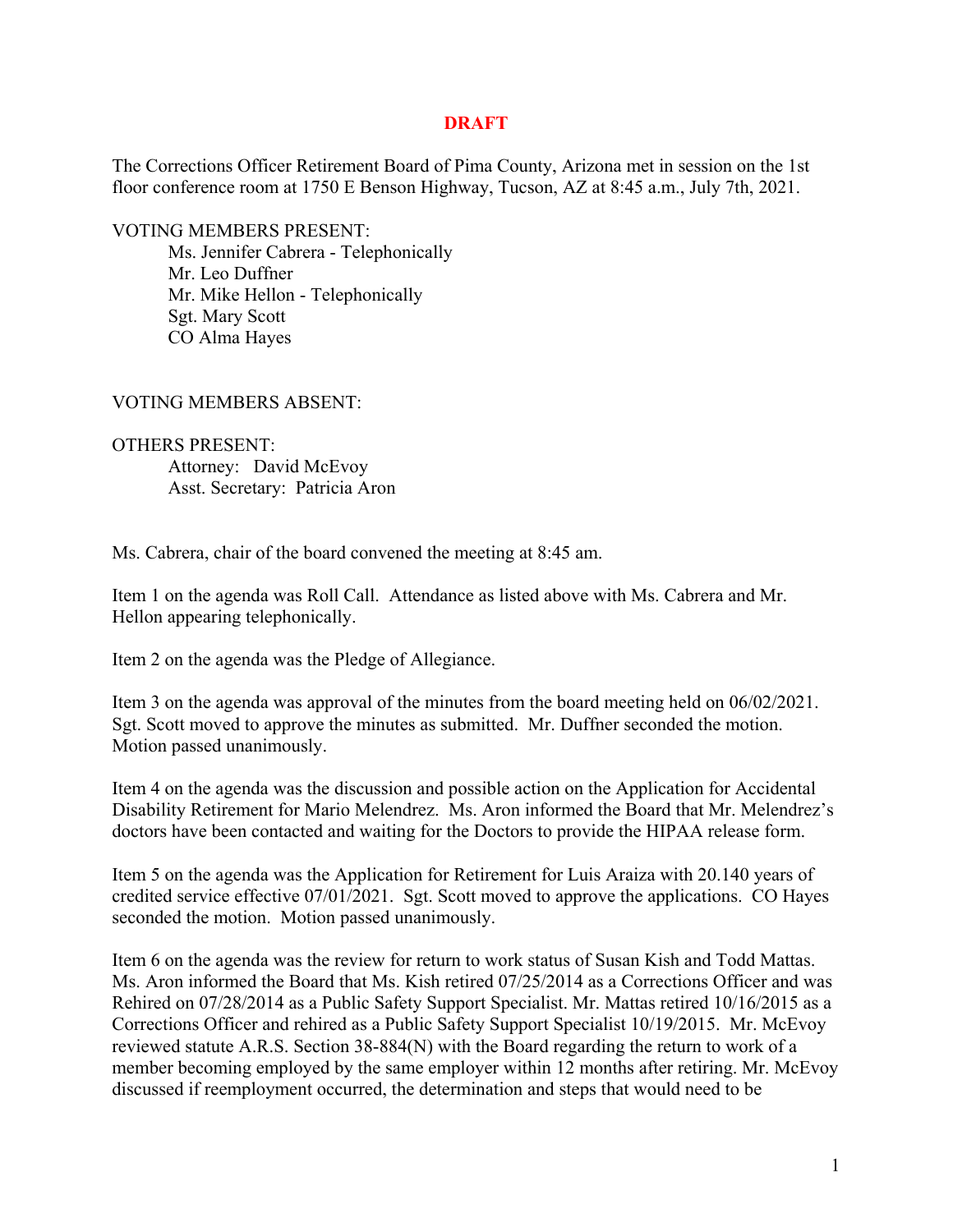## **DRAFT**

The Corrections Officer Retirement Board of Pima County, Arizona met in session on the 1st floor conference room at 1750 E Benson Highway, Tucson, AZ at 8:45 a.m., July 7th, 2021.

VOTING MEMBERS PRESENT:

Ms. Jennifer Cabrera - Telephonically Mr. Leo Duffner Mr. Mike Hellon - Telephonically Sgt. Mary Scott CO Alma Hayes

VOTING MEMBERS ABSENT:

OTHERS PRESENT: Attorney: David McEvoy Asst. Secretary: Patricia Aron

Ms. Cabrera, chair of the board convened the meeting at 8:45 am.

Item 1 on the agenda was Roll Call. Attendance as listed above with Ms. Cabrera and Mr. Hellon appearing telephonically.

Item 2 on the agenda was the Pledge of Allegiance.

Item 3 on the agenda was approval of the minutes from the board meeting held on 06/02/2021. Sgt. Scott moved to approve the minutes as submitted. Mr. Duffner seconded the motion. Motion passed unanimously.

Item 4 on the agenda was the discussion and possible action on the Application for Accidental Disability Retirement for Mario Melendrez. Ms. Aron informed the Board that Mr. Melendrez's doctors have been contacted and waiting for the Doctors to provide the HIPAA release form.

Item 5 on the agenda was the Application for Retirement for Luis Araiza with 20.140 years of credited service effective 07/01/2021. Sgt. Scott moved to approve the applications. CO Hayes seconded the motion. Motion passed unanimously.

Item 6 on the agenda was the review for return to work status of Susan Kish and Todd Mattas. Ms. Aron informed the Board that Ms. Kish retired 07/25/2014 as a Corrections Officer and was Rehired on 07/28/2014 as a Public Safety Support Specialist. Mr. Mattas retired 10/16/2015 as a Corrections Officer and rehired as a Public Safety Support Specialist 10/19/2015. Mr. McEvoy reviewed statute A.R.S. Section 38-884(N) with the Board regarding the return to work of a member becoming employed by the same employer within 12 months after retiring. Mr. McEvoy discussed if reemployment occurred, the determination and steps that would need to be